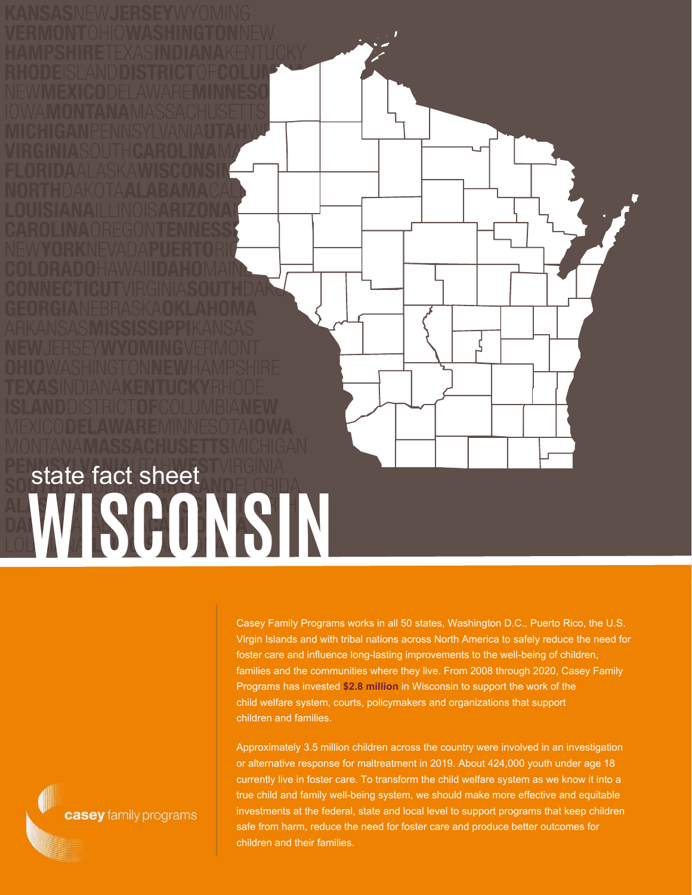**WISCONSIN** state fact sheet

> Casey Family Programs works in all 50 states, Washington D.C., Puerto Rico, the U.S. Virgin Islands and with tribal nations across North America to safely reduce the need for foster care and influence long-lasting improvements to the well-being of children, families and the communities where they live. From 2008 through 2020, Casey Family Programs has invested **\$2.8 million** in Wisconsin to support the work of the child welfare system, courts, policymakers and organizations that support children and families.

Approximately 3.5 million children across the country were involved in an investigation or alternative response for maltreatment in 2019. About 424,000 youth under age 18 currently live in foster care. To transform the child welfare system as we know it into a true child and family well-being system, we should make more effective and equitable investments at the federal, state and local level to support programs that keep children safe from harm, reduce the need for foster care and produce better outcomes for children and their families.

casey family programs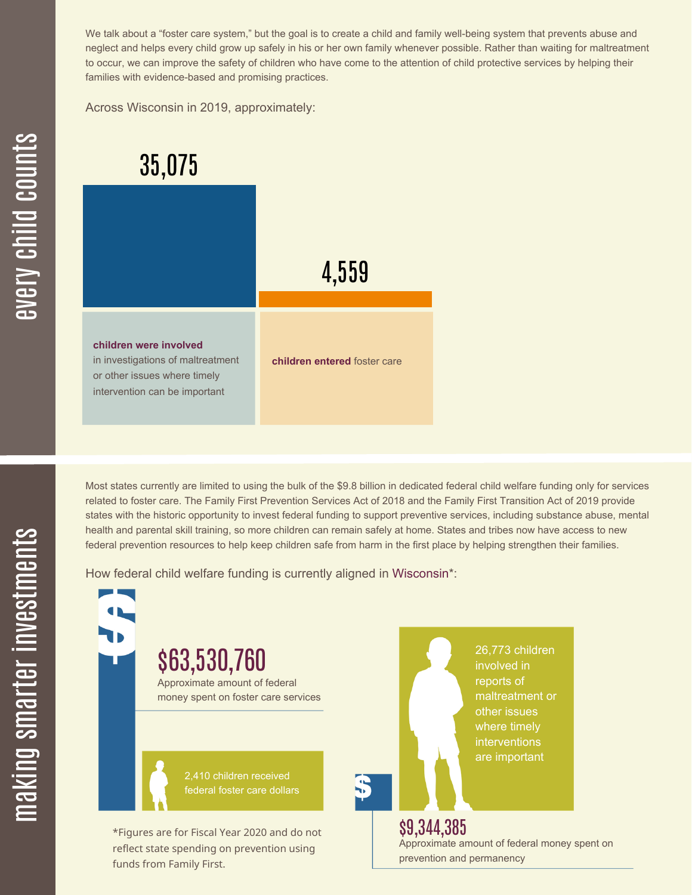We talk about a "foster care system," but the goal is to create a child and family well-being system that prevents abuse and neglect and helps every child grow up safely in his or her own family whenever possible. Rather than waiting for maltreatment to occur, we can improve the safety of children who have come to the attention of child protective services by helping their families with evidence-based and promising practices.

Across Wisconsin in 2019, approximately:

| 35,075                                                                                                                       |                              |
|------------------------------------------------------------------------------------------------------------------------------|------------------------------|
|                                                                                                                              | 4,559                        |
| children were involved<br>in investigations of maltreatment<br>or other issues where timely<br>intervention can be important | children entered foster care |

Most states currently are limited to using the bulk of the \$9.8 billion in dedicated federal child welfare funding only for services related to foster care. The Family First Prevention Services Act of 2018 and the Family First Transition Act of 2019 provide states with the historic opportunity to invest federal funding to support preventive services, including substance abuse, mental health and parental skill training, so more children can remain safely at home. States and tribes now have access to new federal prevention resources to help keep children safe from harm in the first place by helping strengthen their families.

How federal child welfare funding is currently aligned in Wisconsin\*:



æ  $\geq$ c  $\bf \Xi$ c

hild

c $\bigcirc$ <u>u</u>  $\blacksquare$  $\mathbf{S}$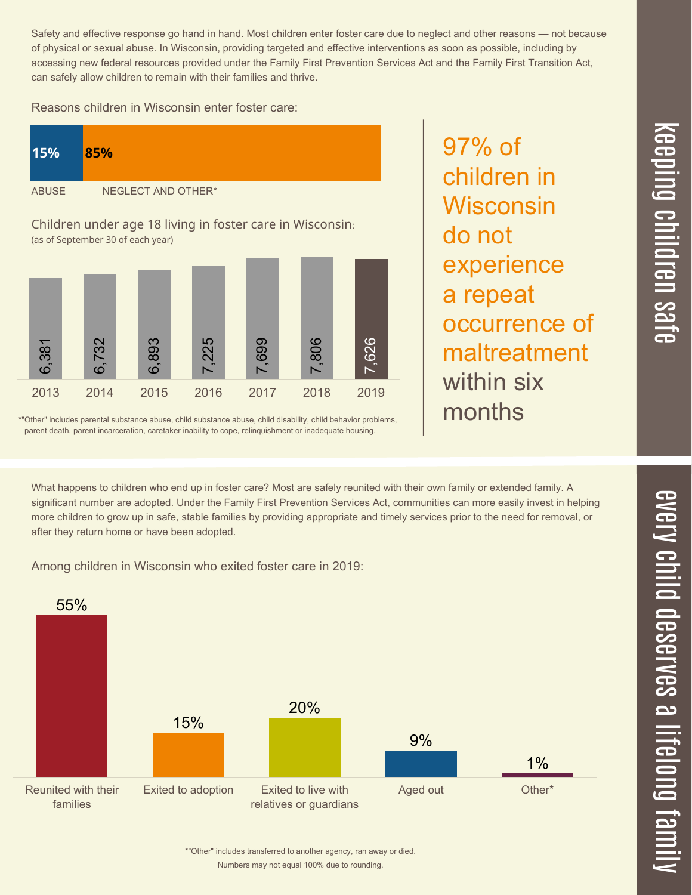Safety and effective response go hand in hand. Most children enter foster care due to neglect and other reasons — not because of physical or sexual abuse. In Wisconsin, providing targeted and effective interventions as soon as possible, including by accessing new federal resources provided under the Family First Prevention Services Act and the Family First Transition Act, can safely allow children to remain with their families and thrive.

Reasons children in Wisconsin enter foster care:

| 15%          | 85%                |  |
|--------------|--------------------|--|
| <b>ABUSE</b> | NEGLECT AND OTHER* |  |
|              |                    |  |

Children under age 18 living in foster care in Wisconsin: (as of September 30 of each year)



\*"Other" includes parental substance abuse, child substance abuse, child disability, child behavior problems, parent death, parent incarceration, caretaker inability to cope, relinquishment or inadequate housing.

97% of children in Wisconsin do not experience a repeat occurrence of maltreatment within six months

What happens to children who end up in foster care? Most are safely reunited with their own family or extended family. A significant number are adopted. Under the Family First Prevention Services Act, communities can more easily invest in helping more children to grow up in safe, stable families by providing appropriate and timely services prior to the need for removal, or after they return home or have been adopted.

Among children in Wisconsin who exited foster care in 2019: